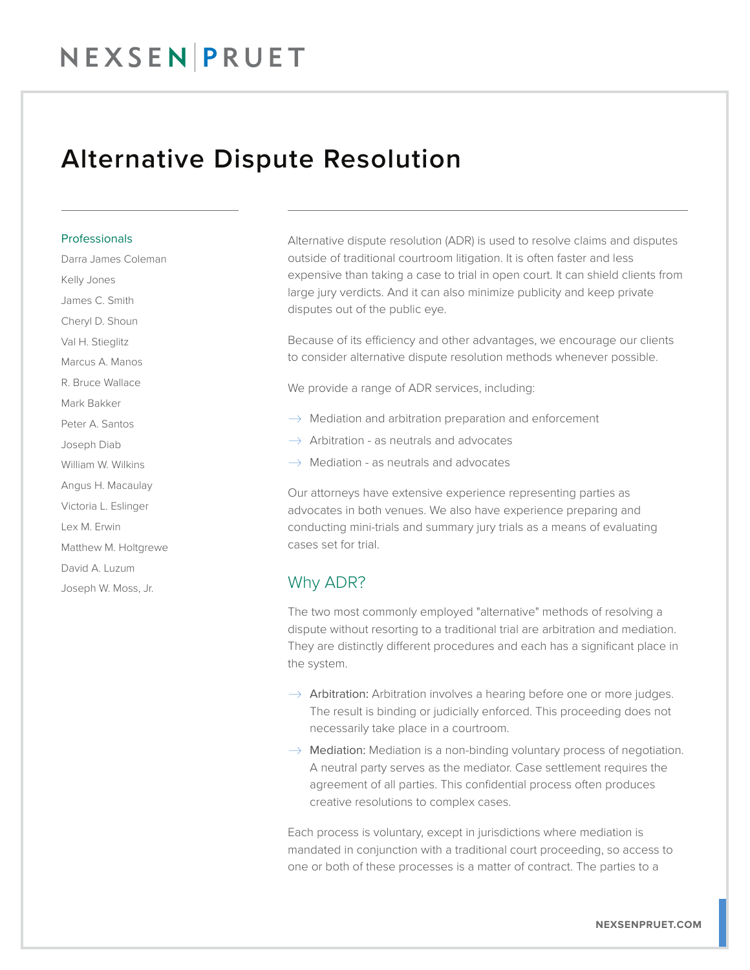## Alternative Dispute Resolution

#### Professionals

Darra James Coleman Kelly Jones James C. Smith Cheryl D. Shoun Val H. Stieglitz Marcus A. Manos R. Bruce Wallace Mark Bakker Peter A. Santos Joseph Diab William W. Wilkins Angus H. Macaulay Victoria L. Eslinger Lex M. Erwin Matthew M. Holtgrewe David A. Luzum Joseph W. Moss, Jr.

Alternative dispute resolution (ADR) is used to resolve claims and disputes outside of traditional courtroom litigation. It is often faster and less expensive than taking a case to trial in open court. It can shield clients from large jury verdicts. And it can also minimize publicity and keep private disputes out of the public eye.

Because of its efficiency and other advantages, we encourage our clients to consider alternative dispute resolution methods whenever possible.

We provide a range of ADR services, including:

- $\rightarrow$  Mediation and arbitration preparation and enforcement
- $\rightarrow$  Arbitration as neutrals and advocates
- $\rightarrow$  Mediation as neutrals and advocates

Our attorneys have extensive experience representing parties as advocates in both venues. We also have experience preparing and conducting mini-trials and summary jury trials as a means of evaluating cases set for trial.

### Why ADR?

The two most commonly employed "alternative" methods of resolving a dispute without resorting to a traditional trial are arbitration and mediation. They are distinctly different procedures and each has a significant place in the system.

- $\rightarrow$  Arbitration: Arbitration involves a hearing before one or more judges. The result is binding or judicially enforced. This proceeding does not necessarily take place in a courtroom.
- $\rightarrow$  Mediation: Mediation is a non-binding voluntary process of negotiation. A neutral party serves as the mediator. Case settlement requires the agreement of all parties. This confidential process often produces creative resolutions to complex cases.

Each process is voluntary, except in jurisdictions where mediation is mandated in conjunction with a traditional court proceeding, so access to one or both of these processes is a matter of contract. The parties to a